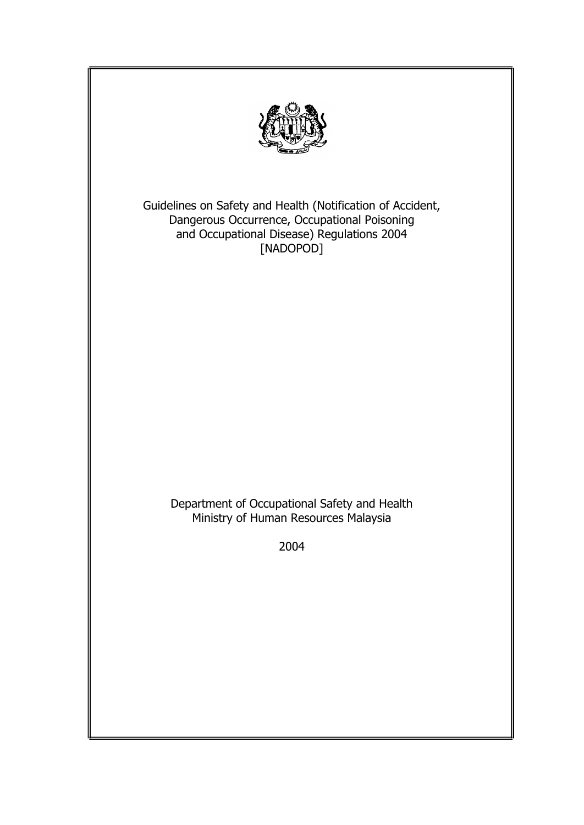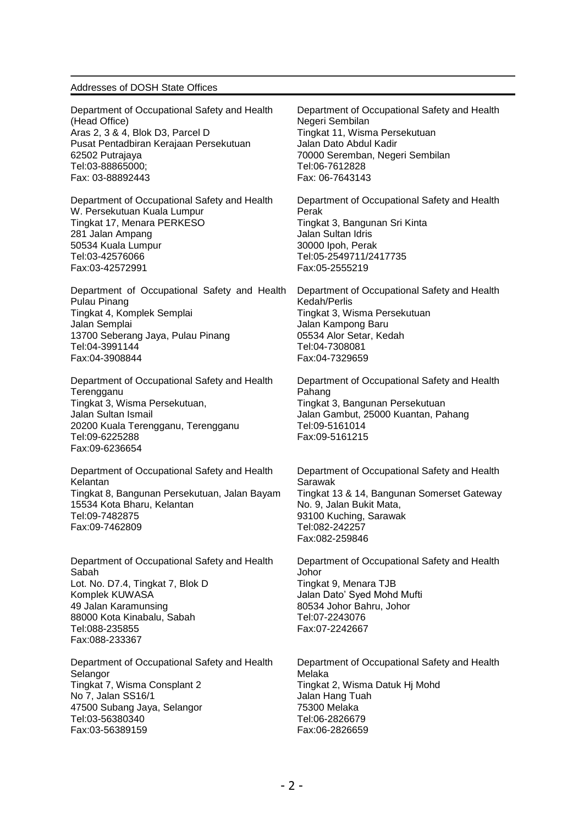#### Addresses of DOSH State Offices

Department of Occupational Safety and Health (Head Office) Aras 2, 3 & 4, Blok D3, Parcel D Pusat Pentadbiran Kerajaan Persekutuan 62502 Putrajaya Tel:03-88865000; Fax: 03-88892443

Department of Occupational Safety and Health W. Persekutuan Kuala Lumpur Tingkat 17, Menara PERKESO 281 Jalan Ampang 50534 Kuala Lumpur Tel:03-42576066 Fax:03-42572991

Department of Occupational Safety and Health Pulau Pinang Tingkat 4, Komplek Semplai Jalan Semplai 13700 Seberang Jaya, Pulau Pinang Tel:04-3991144 Fax:04-3908844

Department of Occupational Safety and Health **Terengganu** Tingkat 3, Wisma Persekutuan, Jalan Sultan Ismail 20200 Kuala Terengganu, Terengganu Tel:09-6225288 Fax:09-6236654

Department of Occupational Safety and Health Kelantan Tingkat 8, Bangunan Persekutuan, Jalan Bayam 15534 Kota Bharu, Kelantan Tel:09-7482875 Fax:09-7462809

Department of Occupational Safety and Health Sabah Lot. No. D7.4, Tingkat 7, Blok D Komplek KUWASA 49 Jalan Karamunsing 88000 Kota Kinabalu, Sabah Tel:088-235855 Fax:088-233367

Department of Occupational Safety and Health **Selangor** Tingkat 7, Wisma Consplant 2 No 7, Jalan SS16/1 47500 Subang Jaya, Selangor Tel:03-56380340 Fax:03-56389159

Department of Occupational Safety and Health Negeri Sembilan Tingkat 11, Wisma Persekutuan Jalan Dato Abdul Kadir 70000 Seremban, Negeri Sembilan Tel:06-7612828 Fax: 06-7643143

Department of Occupational Safety and Health Perak Tingkat 3, Bangunan Sri Kinta Jalan Sultan Idris 30000 Ipoh, Perak Tel:05-2549711/2417735 Fax:05-2555219

Department of Occupational Safety and Health Kedah/Perlis Tingkat 3, Wisma Persekutuan Jalan Kampong Baru 05534 Alor Setar, Kedah Tel:04-7308081 Fax:04-7329659

Department of Occupational Safety and Health Pahang Tingkat 3, Bangunan Persekutuan Jalan Gambut, 25000 Kuantan, Pahang Tel:09-5161014 Fax:09-5161215

Department of Occupational Safety and Health Sarawak Tingkat 13 & 14, Bangunan Somerset Gateway No. 9, Jalan Bukit Mata, 93100 Kuching, Sarawak Tel:082-242257 Fax:082-259846

Department of Occupational Safety and Health Johor Tingkat 9, Menara TJB Jalan Dato' Syed Mohd Mufti 80534 Johor Bahru, Johor Tel:07-2243076 Fax:07-2242667

Department of Occupational Safety and Health Melaka Tingkat 2, Wisma Datuk Hj Mohd Jalan Hang Tuah 75300 Melaka Tel:06-2826679 Fax:06-2826659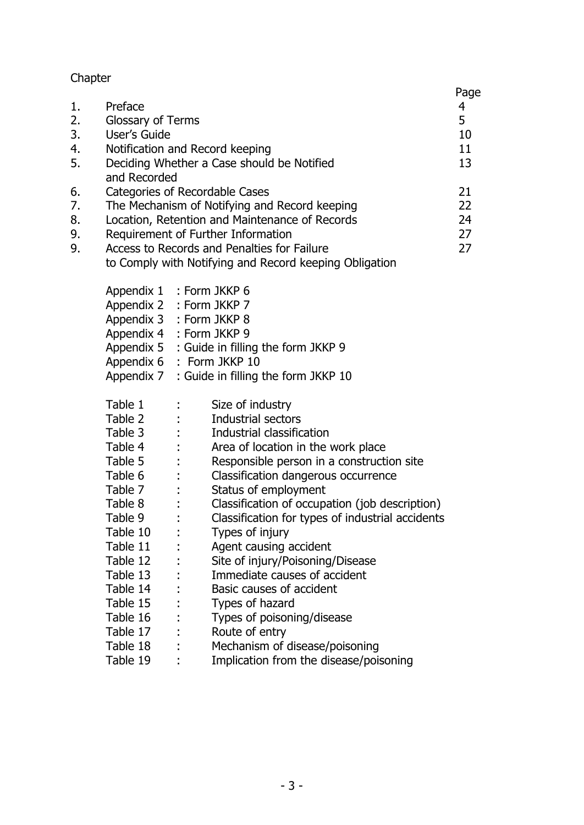# Chapter

|                            |                                                                                                                                                                                                                                                                                  |                                                                                                                                                                                                                                   |                                                                                                                                                                                                                                                                                                                                                                                                                                                                                                                                                                               | Page                       |
|----------------------------|----------------------------------------------------------------------------------------------------------------------------------------------------------------------------------------------------------------------------------------------------------------------------------|-----------------------------------------------------------------------------------------------------------------------------------------------------------------------------------------------------------------------------------|-------------------------------------------------------------------------------------------------------------------------------------------------------------------------------------------------------------------------------------------------------------------------------------------------------------------------------------------------------------------------------------------------------------------------------------------------------------------------------------------------------------------------------------------------------------------------------|----------------------------|
| 1.<br>2.<br>3.<br>4.<br>5. | Preface<br>Glossary of Terms<br>User's Guide<br>Notification and Record keeping<br>Deciding Whether a Case should be Notified<br>and Recorded                                                                                                                                    |                                                                                                                                                                                                                                   |                                                                                                                                                                                                                                                                                                                                                                                                                                                                                                                                                                               | 4<br>5<br>10<br>11<br>13   |
| 6.<br>7.<br>8.<br>9.<br>9. | Categories of Recordable Cases<br>The Mechanism of Notifying and Record keeping<br>Location, Retention and Maintenance of Records<br>Requirement of Further Information<br>Access to Records and Penalties for Failure<br>to Comply with Notifying and Record keeping Obligation |                                                                                                                                                                                                                                   |                                                                                                                                                                                                                                                                                                                                                                                                                                                                                                                                                                               | 21<br>22<br>24<br>27<br>27 |
|                            | Appendix 7                                                                                                                                                                                                                                                                       | Appendix 1 : Form JKKP 6<br>Appendix 2 : Form JKKP 7<br>Appendix 3 : Form JKKP 8<br>Appendix 4 : Form JKKP 9<br>Appendix 5 : Guide in filling the form JKKP 9<br>Appendix 6 : Form JKKP 10<br>: Guide in filling the form JKKP 10 |                                                                                                                                                                                                                                                                                                                                                                                                                                                                                                                                                                               |                            |
|                            | Table 1<br>Table 2<br>Table 3<br>Table 4<br>Table 5<br>Table 6<br>Table 7<br>Table 8<br>Table 9<br>Table 10<br>Table 11<br>Table 12<br>Table 13<br>Table 14<br>Table 15<br>Table 16<br>Table 17<br>Table 18                                                                      |                                                                                                                                                                                                                                   | Size of industry<br>Industrial sectors<br>Industrial classification<br>Area of location in the work place<br>Responsible person in a construction site<br>Classification dangerous occurrence<br>Status of employment<br>Classification of occupation (job description)<br>Classification for types of industrial accidents<br>Types of injury<br>Agent causing accident<br>Site of injury/Poisoning/Disease<br>Immediate causes of accident<br>Basic causes of accident<br>Types of hazard<br>Types of poisoning/disease<br>Route of entry<br>Mechanism of disease/poisoning |                            |
|                            | Table 19                                                                                                                                                                                                                                                                         | $\mathbf{1}$                                                                                                                                                                                                                      | Implication from the disease/poisoning                                                                                                                                                                                                                                                                                                                                                                                                                                                                                                                                        |                            |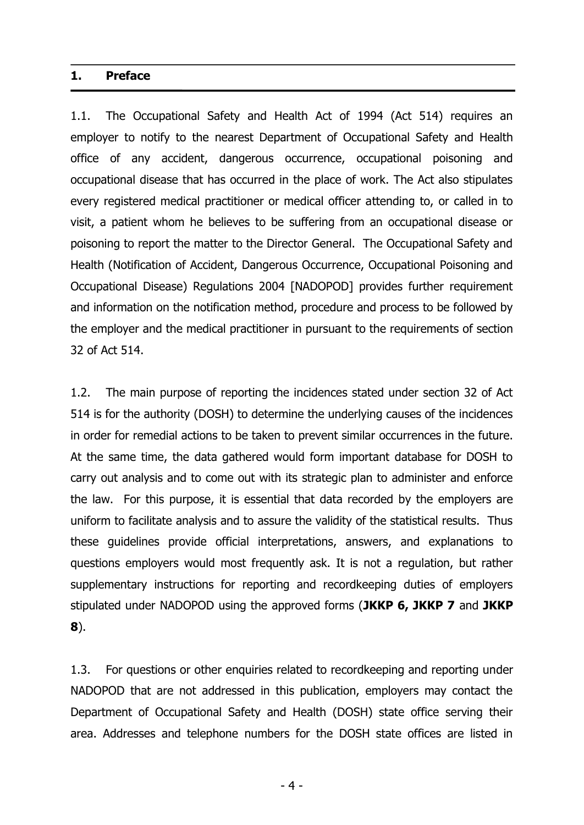### **1. Preface**

1.1. The Occupational Safety and Health Act of 1994 (Act 514) requires an employer to notify to the nearest Department of Occupational Safety and Health office of any accident, dangerous occurrence, occupational poisoning and occupational disease that has occurred in the place of work. The Act also stipulates every registered medical practitioner or medical officer attending to, or called in to visit, a patient whom he believes to be suffering from an occupational disease or poisoning to report the matter to the Director General. The Occupational Safety and Health (Notification of Accident, Dangerous Occurrence, Occupational Poisoning and Occupational Disease) Regulations 2004 [NADOPOD] provides further requirement and information on the notification method, procedure and process to be followed by the employer and the medical practitioner in pursuant to the requirements of section 32 of Act 514.

1.2. The main purpose of reporting the incidences stated under section 32 of Act 514 is for the authority (DOSH) to determine the underlying causes of the incidences in order for remedial actions to be taken to prevent similar occurrences in the future. At the same time, the data gathered would form important database for DOSH to carry out analysis and to come out with its strategic plan to administer and enforce the law. For this purpose, it is essential that data recorded by the employers are uniform to facilitate analysis and to assure the validity of the statistical results. Thus these guidelines provide official interpretations, answers, and explanations to questions employers would most frequently ask. It is not a regulation, but rather supplementary instructions for reporting and recordkeeping duties of employers stipulated under NADOPOD using the approved forms (**JKKP 6, JKKP 7** and **JKKP 8**).

1.3. For questions or other enquiries related to recordkeeping and reporting under NADOPOD that are not addressed in this publication, employers may contact the Department of Occupational Safety and Health (DOSH) state office serving their area. Addresses and telephone numbers for the DOSH state offices are listed in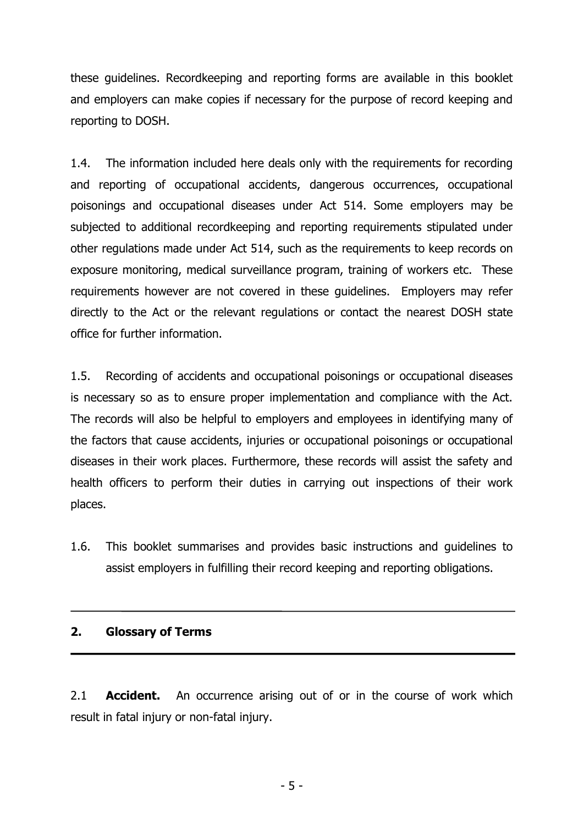these guidelines. Recordkeeping and reporting forms are available in this booklet and employers can make copies if necessary for the purpose of record keeping and reporting to DOSH.

1.4. The information included here deals only with the requirements for recording and reporting of occupational accidents, dangerous occurrences, occupational poisonings and occupational diseases under Act 514. Some employers may be subjected to additional recordkeeping and reporting requirements stipulated under other regulations made under Act 514, such as the requirements to keep records on exposure monitoring, medical surveillance program, training of workers etc. These requirements however are not covered in these guidelines. Employers may refer directly to the Act or the relevant regulations or contact the nearest DOSH state office for further information.

1.5. Recording of accidents and occupational poisonings or occupational diseases is necessary so as to ensure proper implementation and compliance with the Act. The records will also be helpful to employers and employees in identifying many of the factors that cause accidents, injuries or occupational poisonings or occupational diseases in their work places. Furthermore, these records will assist the safety and health officers to perform their duties in carrying out inspections of their work places.

1.6. This booklet summarises and provides basic instructions and guidelines to assist employers in fulfilling their record keeping and reporting obligations.

## **2. Glossary of Terms**

2.1 **Accident.** An occurrence arising out of or in the course of work which result in fatal injury or non-fatal injury.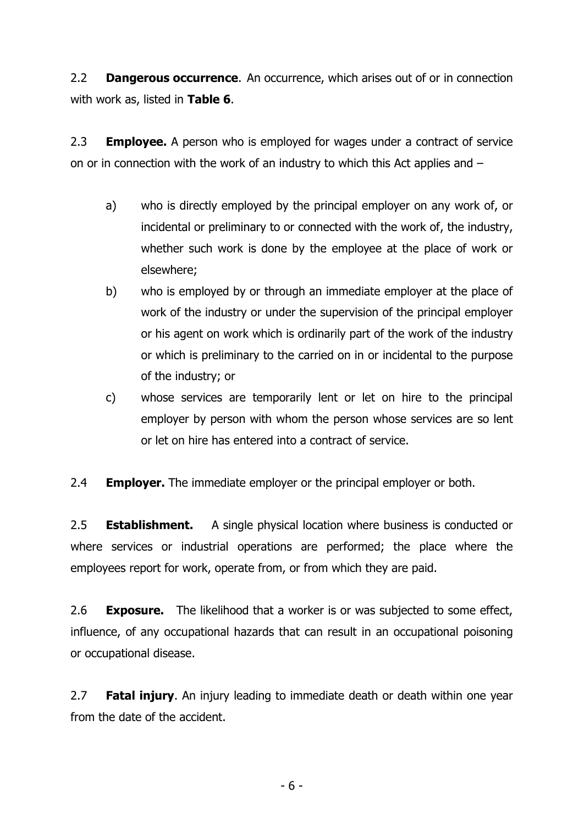2.2 **Dangerous occurrence**. An occurrence, which arises out of or in connection with work as, listed in **Table 6**.

2.3 **Employee.** A person who is employed for wages under a contract of service on or in connection with the work of an industry to which this Act applies and –

- a) who is directly employed by the principal employer on any work of, or incidental or preliminary to or connected with the work of, the industry, whether such work is done by the employee at the place of work or elsewhere;
- b) who is employed by or through an immediate employer at the place of work of the industry or under the supervision of the principal employer or his agent on work which is ordinarily part of the work of the industry or which is preliminary to the carried on in or incidental to the purpose of the industry; or
- c) whose services are temporarily lent or let on hire to the principal employer by person with whom the person whose services are so lent or let on hire has entered into a contract of service.

2.4 **Employer.** The immediate employer or the principal employer or both.

2.5 **Establishment.** A single physical location where business is conducted or where services or industrial operations are performed; the place where the employees report for work, operate from, or from which they are paid.

2.6 **Exposure.** The likelihood that a worker is or was subjected to some effect, influence, of any occupational hazards that can result in an occupational poisoning or occupational disease.

2.7 **Fatal injury**. An injury leading to immediate death or death within one year from the date of the accident.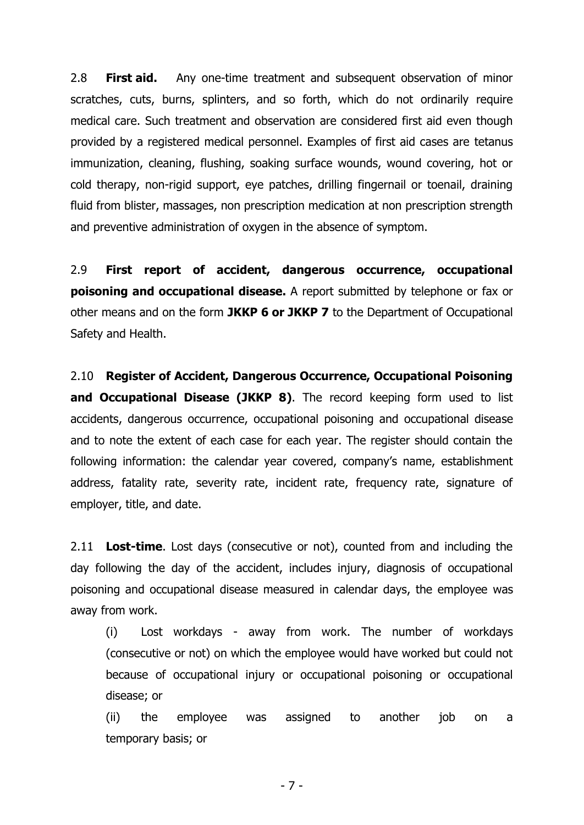2.8 **First aid.** Any one-time treatment and subsequent observation of minor scratches, cuts, burns, splinters, and so forth, which do not ordinarily require medical care. Such treatment and observation are considered first aid even though provided by a registered medical personnel. Examples of first aid cases are tetanus immunization, cleaning, flushing, soaking surface wounds, wound covering, hot or cold therapy, non-rigid support, eye patches, drilling fingernail or toenail, draining fluid from blister, massages, non prescription medication at non prescription strength and preventive administration of oxygen in the absence of symptom.

2.9 **First report of accident, dangerous occurrence, occupational poisoning and occupational disease.** A report submitted by telephone or fax or other means and on the form **JKKP 6 or JKKP 7** to the Department of Occupational Safety and Health.

2.10 **Register of Accident, Dangerous Occurrence, Occupational Poisoning**  and Occupational Disease (JKKP 8). The record keeping form used to list accidents, dangerous occurrence, occupational poisoning and occupational disease and to note the extent of each case for each year. The register should contain the following information: the calendar year covered, company's name, establishment address, fatality rate, severity rate, incident rate, frequency rate, signature of employer, title, and date.

2.11 **Lost-time**. Lost days (consecutive or not), counted from and including the day following the day of the accident, includes injury, diagnosis of occupational poisoning and occupational disease measured in calendar days, the employee was away from work.

(i) Lost workdays - away from work. The number of workdays (consecutive or not) on which the employee would have worked but could not because of occupational injury or occupational poisoning or occupational disease; or

 (ii) the employee was assigned to another job on a temporary basis; or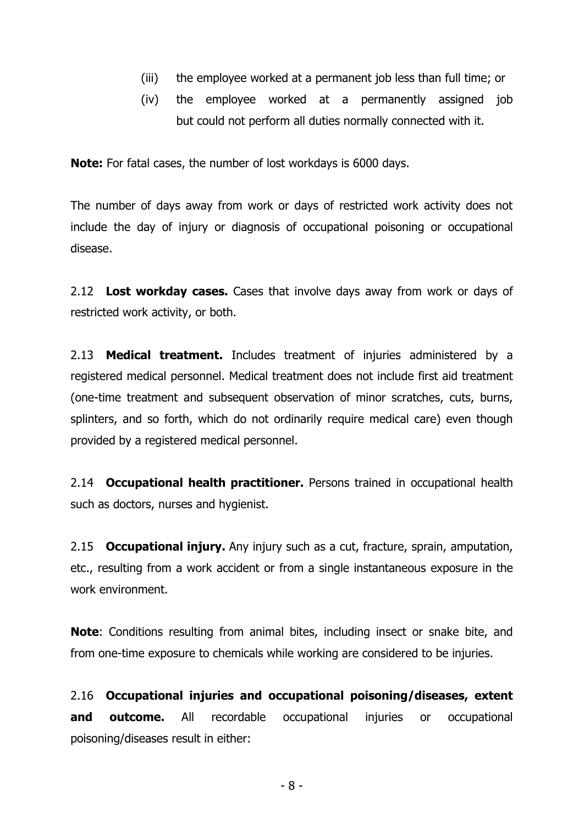- (iii) the employee worked at a permanent job less than full time; or
- (iv) the employee worked at a permanently assigned job but could not perform all duties normally connected with it.

**Note:** For fatal cases, the number of lost workdays is 6000 days.

The number of days away from work or days of restricted work activity does not include the day of injury or diagnosis of occupational poisoning or occupational disease.

2.12 **Lost workday cases.** Cases that involve days away from work or days of restricted work activity, or both.

2.13 **Medical treatment.** Includes treatment of injuries administered by a registered medical personnel. Medical treatment does not include first aid treatment (one-time treatment and subsequent observation of minor scratches, cuts, burns, splinters, and so forth, which do not ordinarily require medical care) even though provided by a registered medical personnel.

2.14 **Occupational health practitioner.** Persons trained in occupational health such as doctors, nurses and hygienist.

2.15 **Occupational injury.** Any injury such as a cut, fracture, sprain, amputation, etc., resulting from a work accident or from a single instantaneous exposure in the work environment.

**Note**: Conditions resulting from animal bites, including insect or snake bite, and from one-time exposure to chemicals while working are considered to be injuries.

2.16 **Occupational injuries and occupational poisoning/diseases, extent and outcome.** All recordable occupational injuries or occupational poisoning/diseases result in either: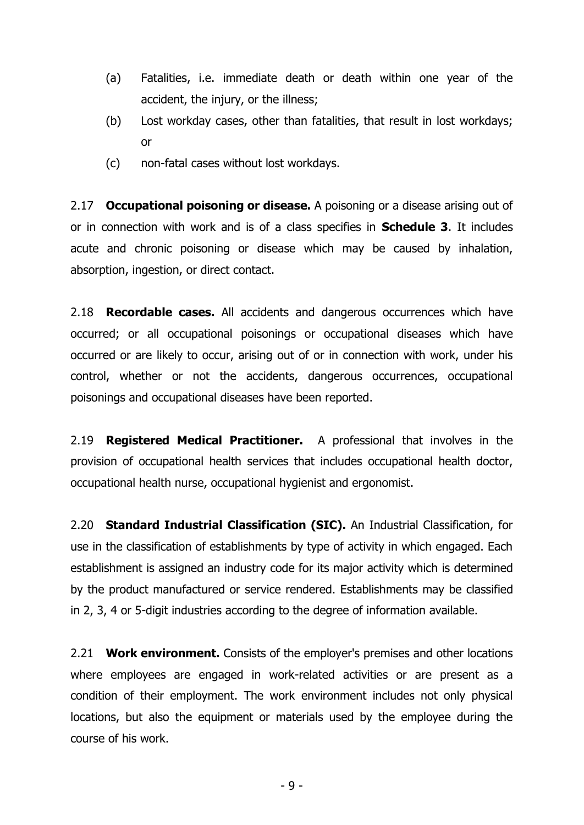- (a) Fatalities, i.e. immediate death or death within one year of the accident, the injury, or the illness;
- (b) Lost workday cases, other than fatalities, that result in lost workdays; or
- (c) non-fatal cases without lost workdays.

2.17 **Occupational poisoning or disease.** A poisoning or a disease arising out of or in connection with work and is of a class specifies in **Schedule 3**. It includes acute and chronic poisoning or disease which may be caused by inhalation, absorption, ingestion, or direct contact.

2.18 **Recordable cases.** All accidents and dangerous occurrences which have occurred; or all occupational poisonings or occupational diseases which have occurred or are likely to occur, arising out of or in connection with work, under his control, whether or not the accidents, dangerous occurrences, occupational poisonings and occupational diseases have been reported.

2.19 **Registered Medical Practitioner.** A professional that involves in the provision of occupational health services that includes occupational health doctor, occupational health nurse, occupational hygienist and ergonomist.

2.20 **Standard Industrial Classification (SIC).** An Industrial Classification, for use in the classification of establishments by type of activity in which engaged. Each establishment is assigned an industry code for its major activity which is determined by the product manufactured or service rendered. Establishments may be classified in 2, 3, 4 or 5-digit industries according to the degree of information available.

2.21 **Work environment.** Consists of the employer's premises and other locations where employees are engaged in work-related activities or are present as a condition of their employment. The work environment includes not only physical locations, but also the equipment or materials used by the employee during the course of his work.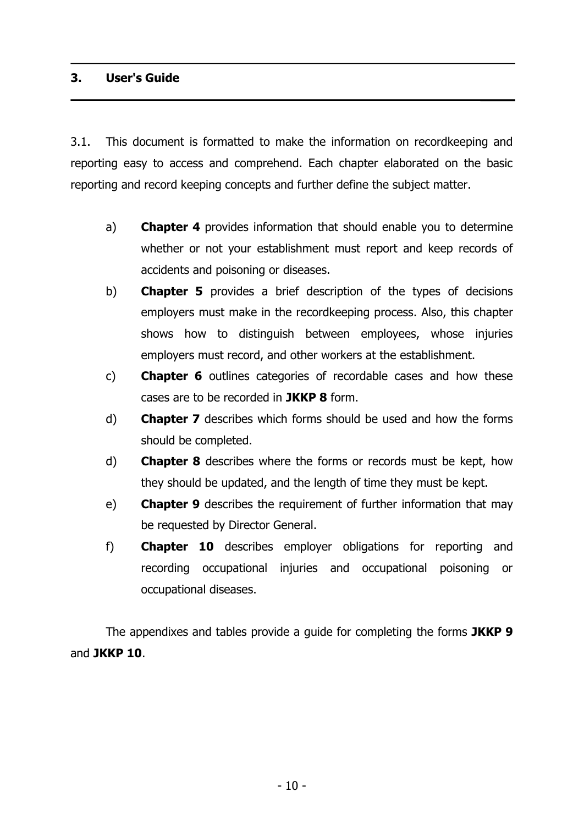## **3. User's Guide**

3.1. This document is formatted to make the information on recordkeeping and reporting easy to access and comprehend. Each chapter elaborated on the basic reporting and record keeping concepts and further define the subject matter.

- a) **Chapter 4** provides information that should enable you to determine whether or not your establishment must report and keep records of accidents and poisoning or diseases.
- b) **Chapter 5** provides a brief description of the types of decisions employers must make in the recordkeeping process. Also, this chapter shows how to distinguish between employees, whose injuries employers must record, and other workers at the establishment.
- c) **Chapter 6** outlines categories of recordable cases and how these cases are to be recorded in **JKKP 8** form.
- d) **Chapter 7** describes which forms should be used and how the forms should be completed.
- d) **Chapter 8** describes where the forms or records must be kept, how they should be updated, and the length of time they must be kept.
- e) **Chapter 9** describes the requirement of further information that may be requested by Director General.
- f) **Chapter 10** describes employer obligations for reporting and recording occupational injuries and occupational poisoning or occupational diseases.

The appendixes and tables provide a guide for completing the forms **JKKP 9** and **JKKP 10**.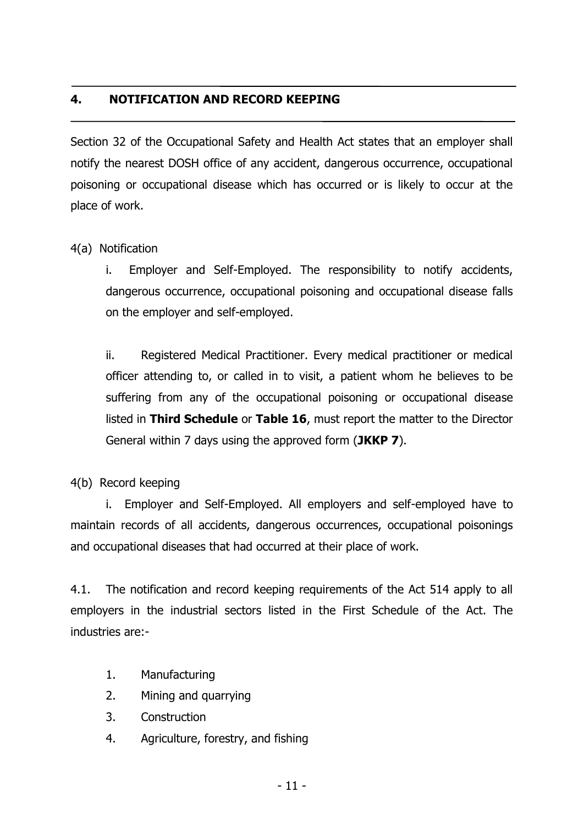## **4. NOTIFICATION AND RECORD KEEPING**

Section 32 of the Occupational Safety and Health Act states that an employer shall notify the nearest DOSH office of any accident, dangerous occurrence, occupational poisoning or occupational disease which has occurred or is likely to occur at the place of work.

4(a) Notification

i. Employer and Self-Employed. The responsibility to notify accidents, dangerous occurrence, occupational poisoning and occupational disease falls on the employer and self-employed.

ii. Registered Medical Practitioner. Every medical practitioner or medical officer attending to, or called in to visit, a patient whom he believes to be suffering from any of the occupational poisoning or occupational disease listed in **Third Schedule** or **Table 16**, must report the matter to the Director General within 7 days using the approved form (**JKKP 7**).

4(b) Record keeping

i. Employer and Self-Employed. All employers and self-employed have to maintain records of all accidents, dangerous occurrences, occupational poisonings and occupational diseases that had occurred at their place of work.

4.1. The notification and record keeping requirements of the Act 514 apply to all employers in the industrial sectors listed in the First Schedule of the Act. The industries are:-

- 1. Manufacturing
- 2. Mining and quarrying
- 3. Construction
- 4. Agriculture, forestry, and fishing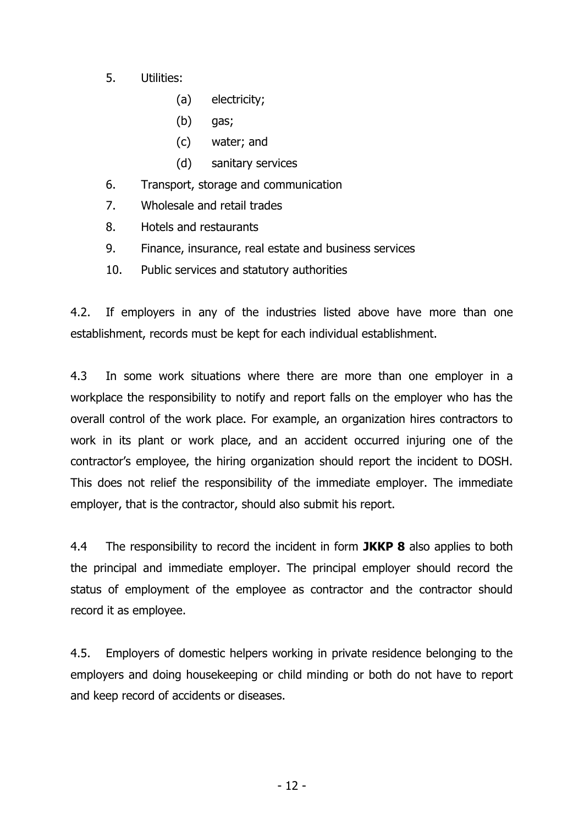- 5. Utilities:
	- (a) electricity;
	- (b) gas;
	- (c) water; and
	- (d) sanitary services
- 6. Transport, storage and communication
- 7. Wholesale and retail trades
- 8. Hotels and restaurants
- 9. Finance, insurance, real estate and business services
- 10. Public services and statutory authorities

4.2. If employers in any of the industries listed above have more than one establishment, records must be kept for each individual establishment.

4.3 In some work situations where there are more than one employer in a workplace the responsibility to notify and report falls on the employer who has the overall control of the work place. For example, an organization hires contractors to work in its plant or work place, and an accident occurred injuring one of the contractor's employee, the hiring organization should report the incident to DOSH. This does not relief the responsibility of the immediate employer. The immediate employer, that is the contractor, should also submit his report.

4.4 The responsibility to record the incident in form **JKKP 8** also applies to both the principal and immediate employer. The principal employer should record the status of employment of the employee as contractor and the contractor should record it as employee.

4.5. Employers of domestic helpers working in private residence belonging to the employers and doing housekeeping or child minding or both do not have to report and keep record of accidents or diseases.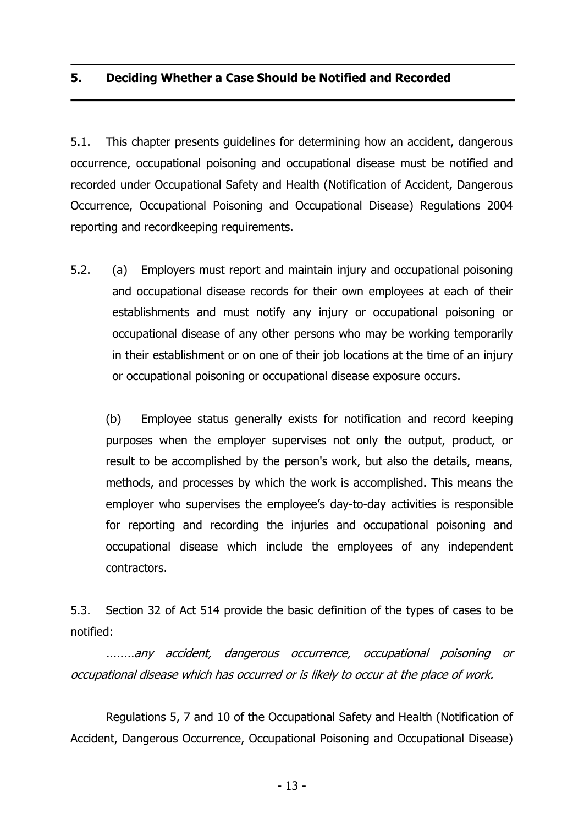## **5. Deciding Whether a Case Should be Notified and Recorded**

5.1. This chapter presents guidelines for determining how an accident, dangerous occurrence, occupational poisoning and occupational disease must be notified and recorded under Occupational Safety and Health (Notification of Accident, Dangerous Occurrence, Occupational Poisoning and Occupational Disease) Regulations 2004 reporting and recordkeeping requirements.

5.2. (a) Employers must report and maintain injury and occupational poisoning and occupational disease records for their own employees at each of their establishments and must notify any injury or occupational poisoning or occupational disease of any other persons who may be working temporarily in their establishment or on one of their job locations at the time of an injury or occupational poisoning or occupational disease exposure occurs.

(b) Employee status generally exists for notification and record keeping purposes when the employer supervises not only the output, product, or result to be accomplished by the person's work, but also the details, means, methods, and processes by which the work is accomplished. This means the employer who supervises the employee's day-to-day activities is responsible for reporting and recording the injuries and occupational poisoning and occupational disease which include the employees of any independent contractors.

5.3. Section 32 of Act 514 provide the basic definition of the types of cases to be notified:

........any accident, dangerous occurrence, occupational poisoning or occupational disease which has occurred or is likely to occur at the place of work.

Regulations 5, 7 and 10 of the Occupational Safety and Health (Notification of Accident, Dangerous Occurrence, Occupational Poisoning and Occupational Disease)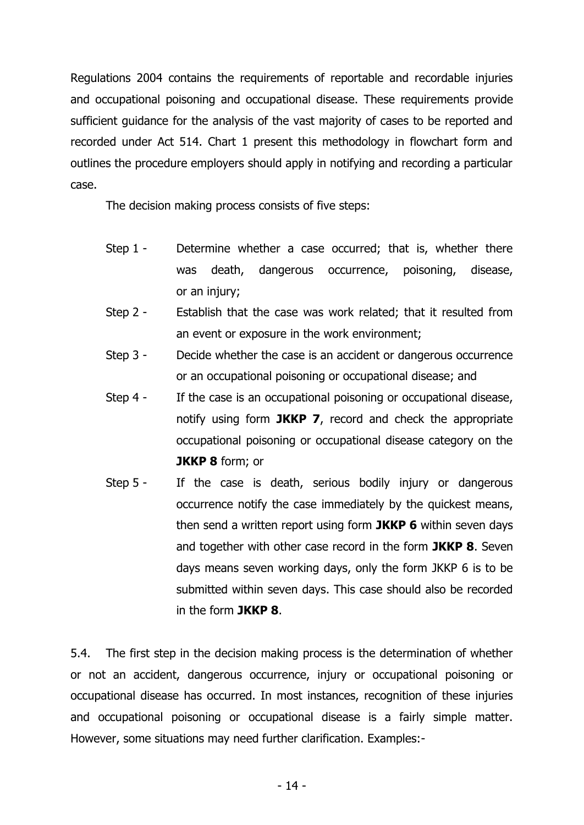Regulations 2004 contains the requirements of reportable and recordable injuries and occupational poisoning and occupational disease. These requirements provide sufficient guidance for the analysis of the vast majority of cases to be reported and recorded under Act 514. Chart 1 present this methodology in flowchart form and outlines the procedure employers should apply in notifying and recording a particular case.

The decision making process consists of five steps:

- Step 1 Determine whether a case occurred; that is, whether there was death, dangerous occurrence, poisoning, disease, or an injury;
- Step 2 Establish that the case was work related; that it resulted from an event or exposure in the work environment;
- Step 3 Decide whether the case is an accident or dangerous occurrence or an occupational poisoning or occupational disease; and
- Step 4 If the case is an occupational poisoning or occupational disease, notify using form **JKKP 7**, record and check the appropriate occupational poisoning or occupational disease category on the **JKKP 8** form; or
- Step 5 If the case is death, serious bodily injury or dangerous occurrence notify the case immediately by the quickest means, then send a written report using form **JKKP 6** within seven days and together with other case record in the form **JKKP 8**. Seven days means seven working days, only the form JKKP 6 is to be submitted within seven days. This case should also be recorded in the form **JKKP 8**.

5.4. The first step in the decision making process is the determination of whether or not an accident, dangerous occurrence, injury or occupational poisoning or occupational disease has occurred. In most instances, recognition of these injuries and occupational poisoning or occupational disease is a fairly simple matter. However, some situations may need further clarification. Examples:-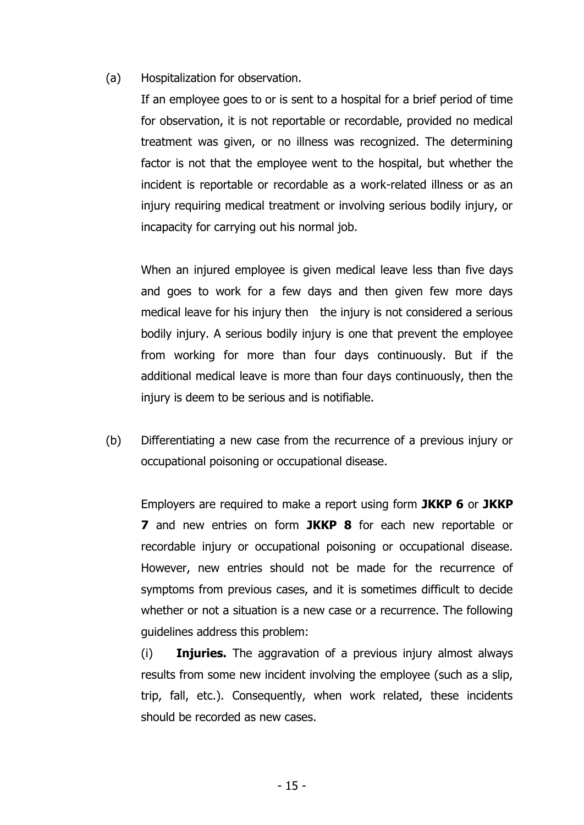(a) Hospitalization for observation.

If an employee goes to or is sent to a hospital for a brief period of time for observation, it is not reportable or recordable, provided no medical treatment was given, or no illness was recognized. The determining factor is not that the employee went to the hospital, but whether the incident is reportable or recordable as a work-related illness or as an injury requiring medical treatment or involving serious bodily injury, or incapacity for carrying out his normal job.

When an injured employee is given medical leave less than five days and goes to work for a few days and then given few more days medical leave for his injury then the injury is not considered a serious bodily injury. A serious bodily injury is one that prevent the employee from working for more than four days continuously. But if the additional medical leave is more than four days continuously, then the injury is deem to be serious and is notifiable.

(b) Differentiating a new case from the recurrence of a previous injury or occupational poisoning or occupational disease.

Employers are required to make a report using form **JKKP 6** or **JKKP 7** and new entries on form **JKKP 8** for each new reportable or recordable injury or occupational poisoning or occupational disease. However, new entries should not be made for the recurrence of symptoms from previous cases, and it is sometimes difficult to decide whether or not a situation is a new case or a recurrence. The following guidelines address this problem:

(i) **Injuries.** The aggravation of a previous injury almost always results from some new incident involving the employee (such as a slip, trip, fall, etc.). Consequently, when work related, these incidents should be recorded as new cases.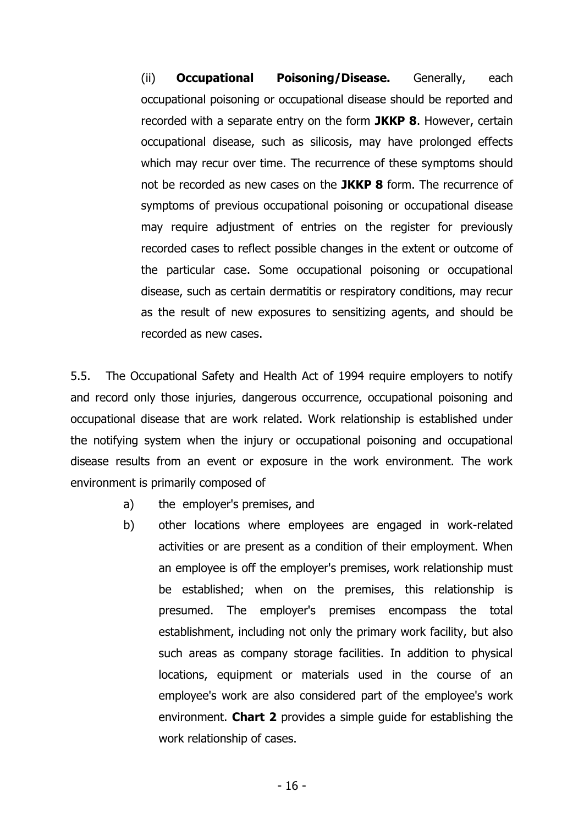(ii) **Occupational Poisoning/Disease.** Generally, each occupational poisoning or occupational disease should be reported and recorded with a separate entry on the form **JKKP 8**. However, certain occupational disease, such as silicosis, may have prolonged effects which may recur over time. The recurrence of these symptoms should not be recorded as new cases on the **JKKP 8** form. The recurrence of symptoms of previous occupational poisoning or occupational disease may require adjustment of entries on the register for previously recorded cases to reflect possible changes in the extent or outcome of the particular case. Some occupational poisoning or occupational disease, such as certain dermatitis or respiratory conditions, may recur as the result of new exposures to sensitizing agents, and should be recorded as new cases.

5.5. The Occupational Safety and Health Act of 1994 require employers to notify and record only those injuries, dangerous occurrence, occupational poisoning and occupational disease that are work related. Work relationship is established under the notifying system when the injury or occupational poisoning and occupational disease results from an event or exposure in the work environment. The work environment is primarily composed of

- a) the employer's premises, and
- b) other locations where employees are engaged in work-related activities or are present as a condition of their employment. When an employee is off the employer's premises, work relationship must be established; when on the premises, this relationship is presumed. The employer's premises encompass the total establishment, including not only the primary work facility, but also such areas as company storage facilities. In addition to physical locations, equipment or materials used in the course of an employee's work are also considered part of the employee's work environment. **Chart 2** provides a simple guide for establishing the work relationship of cases.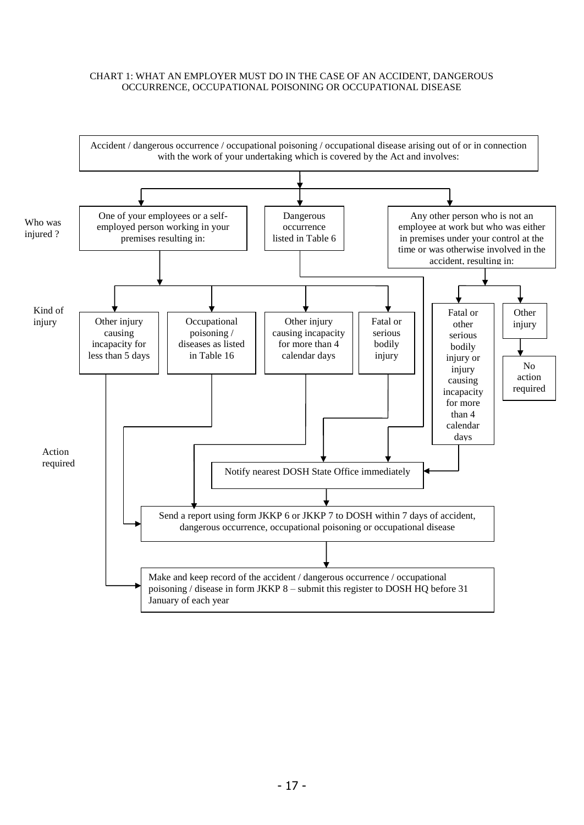#### CHART 1: WHAT AN EMPLOYER MUST DO IN THE CASE OF AN ACCIDENT, DANGEROUS OCCURRENCE, OCCUPATIONAL POISONING OR OCCUPATIONAL DISEASE

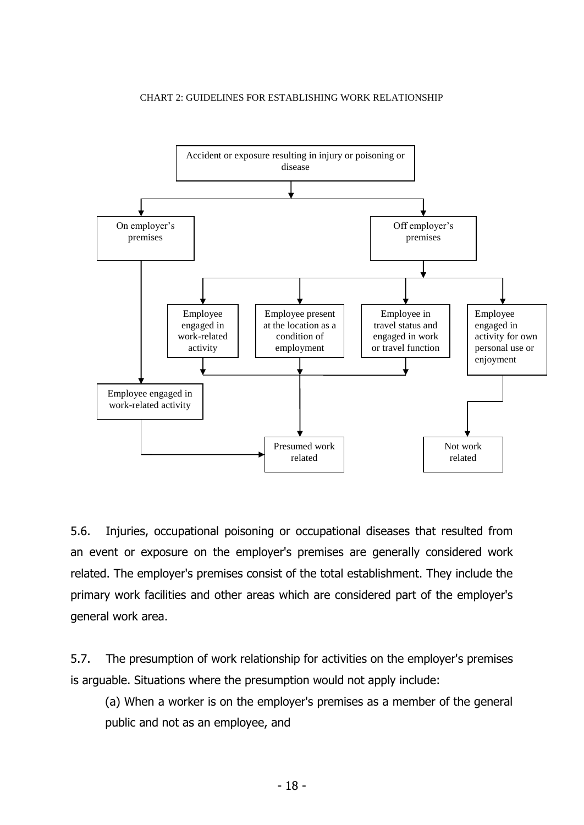#### CHART 2: GUIDELINES FOR ESTABLISHING WORK RELATIONSHIP



5.6. Injuries, occupational poisoning or occupational diseases that resulted from an event or exposure on the employer's premises are generally considered work related. The employer's premises consist of the total establishment. They include the primary work facilities and other areas which are considered part of the employer's general work area.

5.7. The presumption of work relationship for activities on the employer's premises is arguable. Situations where the presumption would not apply include:

(a) When a worker is on the employer's premises as a member of the general public and not as an employee, and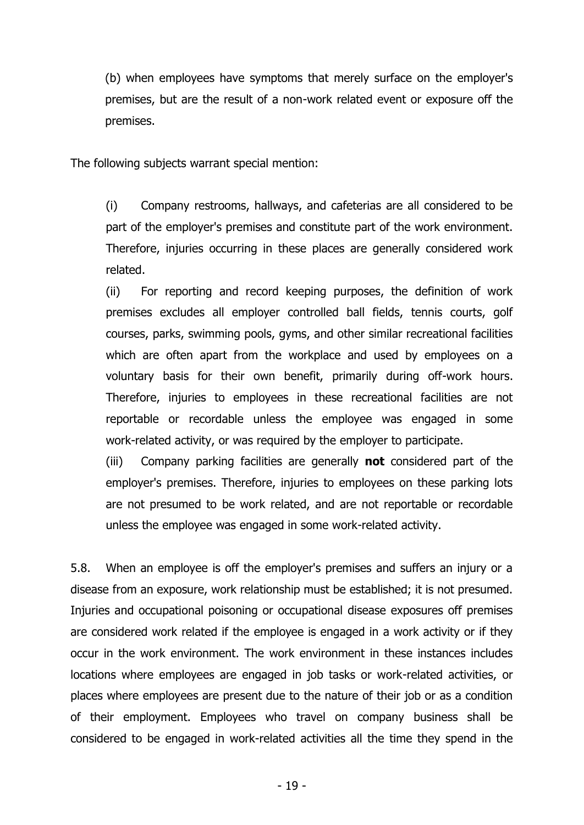(b) when employees have symptoms that merely surface on the employer's premises, but are the result of a non-work related event or exposure off the premises.

The following subjects warrant special mention:

(i) Company restrooms, hallways, and cafeterias are all considered to be part of the employer's premises and constitute part of the work environment. Therefore, injuries occurring in these places are generally considered work related.

(ii) For reporting and record keeping purposes, the definition of work premises excludes all employer controlled ball fields, tennis courts, golf courses, parks, swimming pools, gyms, and other similar recreational facilities which are often apart from the workplace and used by employees on a voluntary basis for their own benefit, primarily during off-work hours. Therefore, injuries to employees in these recreational facilities are not reportable or recordable unless the employee was engaged in some work-related activity, or was required by the employer to participate.

(iii) Company parking facilities are generally **not** considered part of the employer's premises. Therefore, injuries to employees on these parking lots are not presumed to be work related, and are not reportable or recordable unless the employee was engaged in some work-related activity.

5.8. When an employee is off the employer's premises and suffers an injury or a disease from an exposure, work relationship must be established; it is not presumed. Injuries and occupational poisoning or occupational disease exposures off premises are considered work related if the employee is engaged in a work activity or if they occur in the work environment. The work environment in these instances includes locations where employees are engaged in job tasks or work-related activities, or places where employees are present due to the nature of their job or as a condition of their employment. Employees who travel on company business shall be considered to be engaged in work-related activities all the time they spend in the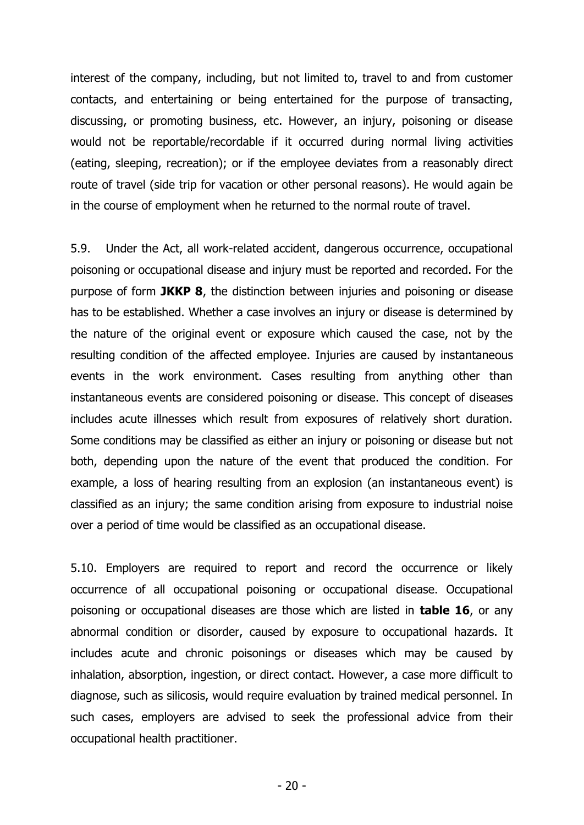interest of the company, including, but not limited to, travel to and from customer contacts, and entertaining or being entertained for the purpose of transacting, discussing, or promoting business, etc. However, an injury, poisoning or disease would not be reportable/recordable if it occurred during normal living activities (eating, sleeping, recreation); or if the employee deviates from a reasonably direct route of travel (side trip for vacation or other personal reasons). He would again be in the course of employment when he returned to the normal route of travel.

5.9. Under the Act, all work-related accident, dangerous occurrence, occupational poisoning or occupational disease and injury must be reported and recorded. For the purpose of form **JKKP 8**, the distinction between injuries and poisoning or disease has to be established. Whether a case involves an injury or disease is determined by the nature of the original event or exposure which caused the case, not by the resulting condition of the affected employee. Injuries are caused by instantaneous events in the work environment. Cases resulting from anything other than instantaneous events are considered poisoning or disease. This concept of diseases includes acute illnesses which result from exposures of relatively short duration. Some conditions may be classified as either an injury or poisoning or disease but not both, depending upon the nature of the event that produced the condition. For example, a loss of hearing resulting from an explosion (an instantaneous event) is classified as an injury; the same condition arising from exposure to industrial noise over a period of time would be classified as an occupational disease.

5.10. Employers are required to report and record the occurrence or likely occurrence of all occupational poisoning or occupational disease. Occupational poisoning or occupational diseases are those which are listed in **table 16**, or any abnormal condition or disorder, caused by exposure to occupational hazards. It includes acute and chronic poisonings or diseases which may be caused by inhalation, absorption, ingestion, or direct contact. However, a case more difficult to diagnose, such as silicosis, would require evaluation by trained medical personnel. In such cases, employers are advised to seek the professional advice from their occupational health practitioner.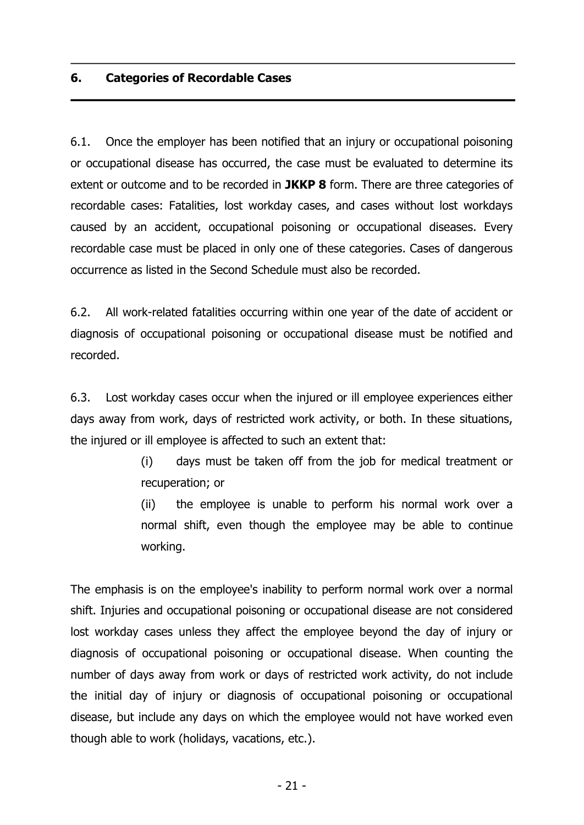## **6. Categories of Recordable Cases**

6.1. Once the employer has been notified that an injury or occupational poisoning or occupational disease has occurred, the case must be evaluated to determine its extent or outcome and to be recorded in **JKKP 8** form. There are three categories of recordable cases: Fatalities, lost workday cases, and cases without lost workdays caused by an accident, occupational poisoning or occupational diseases. Every recordable case must be placed in only one of these categories. Cases of dangerous occurrence as listed in the Second Schedule must also be recorded.

6.2. All work-related fatalities occurring within one year of the date of accident or diagnosis of occupational poisoning or occupational disease must be notified and recorded.

6.3. Lost workday cases occur when the injured or ill employee experiences either days away from work, days of restricted work activity, or both. In these situations, the injured or ill employee is affected to such an extent that:

> (i) days must be taken off from the job for medical treatment or recuperation; or

> (ii) the employee is unable to perform his normal work over a normal shift, even though the employee may be able to continue working.

The emphasis is on the employee's inability to perform normal work over a normal shift. Injuries and occupational poisoning or occupational disease are not considered lost workday cases unless they affect the employee beyond the day of injury or diagnosis of occupational poisoning or occupational disease. When counting the number of days away from work or days of restricted work activity, do not include the initial day of injury or diagnosis of occupational poisoning or occupational disease, but include any days on which the employee would not have worked even though able to work (holidays, vacations, etc.).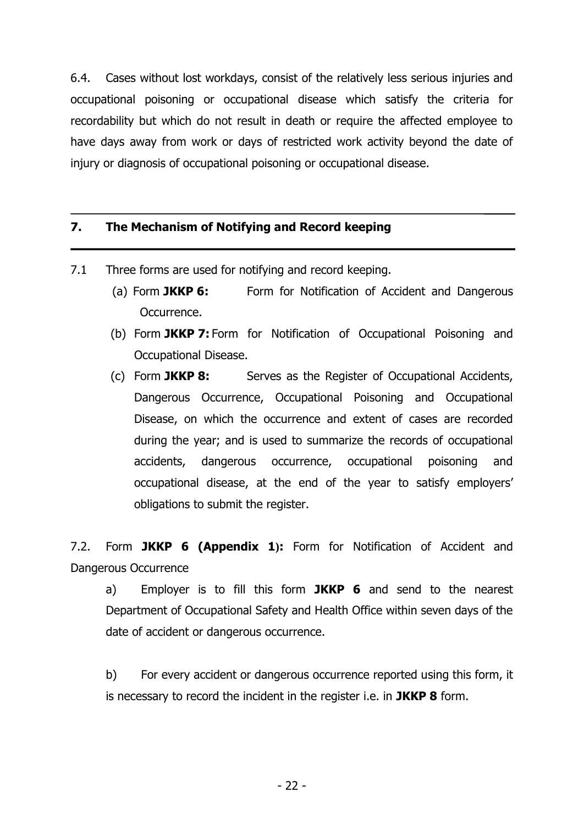6.4. Cases without lost workdays, consist of the relatively less serious injuries and occupational poisoning or occupational disease which satisfy the criteria for recordability but which do not result in death or require the affected employee to have days away from work or days of restricted work activity beyond the date of injury or diagnosis of occupational poisoning or occupational disease.

## **7. The Mechanism of Notifying and Record keeping**

- 7.1 Three forms are used for notifying and record keeping.
	- (a) Form **JKKP 6:** Form for Notification of Accident and Dangerous Occurrence.
	- (b) Form **JKKP 7:** Form for Notification of Occupational Poisoning and Occupational Disease.
	- (c) Form **JKKP 8:** Serves as the Register of Occupational Accidents, Dangerous Occurrence, Occupational Poisoning and Occupational Disease, on which the occurrence and extent of cases are recorded during the year; and is used to summarize the records of occupational accidents, dangerous occurrence, occupational poisoning and occupational disease, at the end of the year to satisfy employers' obligations to submit the register.

7.2. Form **JKKP 6 (Appendix 1):** Form for Notification of Accident and Dangerous Occurrence

a) Employer is to fill this form **JKKP 6** and send to the nearest Department of Occupational Safety and Health Office within seven days of the date of accident or dangerous occurrence.

b) For every accident or dangerous occurrence reported using this form, it is necessary to record the incident in the register i.e. in **JKKP 8** form.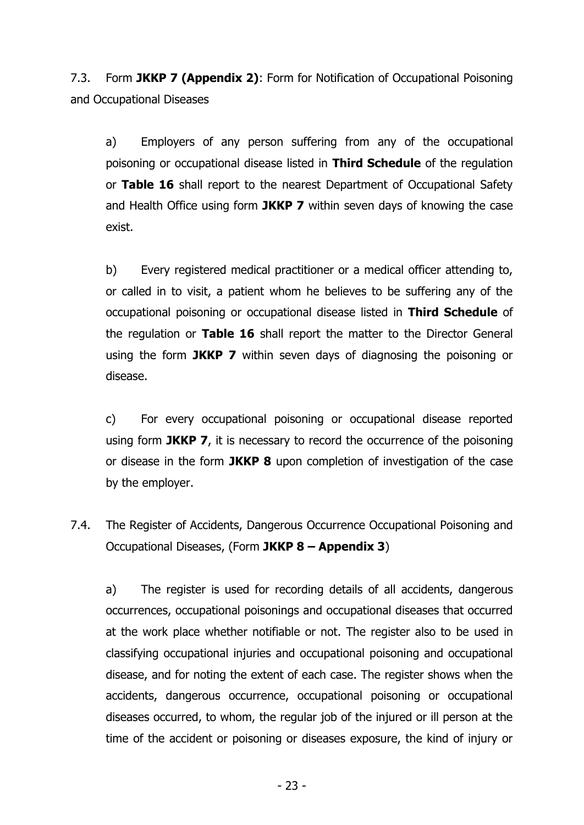7.3. Form **JKKP 7 (Appendix 2)**: Form for Notification of Occupational Poisoning and Occupational Diseases

a) Employers of any person suffering from any of the occupational poisoning or occupational disease listed in **Third Schedule** of the regulation or **Table 16** shall report to the nearest Department of Occupational Safety and Health Office using form **JKKP 7** within seven days of knowing the case exist.

b) Every registered medical practitioner or a medical officer attending to, or called in to visit, a patient whom he believes to be suffering any of the occupational poisoning or occupational disease listed in **Third Schedule** of the regulation or **Table 16** shall report the matter to the Director General using the form **JKKP 7** within seven days of diagnosing the poisoning or disease.

c) For every occupational poisoning or occupational disease reported using form **JKKP 7**, it is necessary to record the occurrence of the poisoning or disease in the form **JKKP 8** upon completion of investigation of the case by the employer.

7.4. The Register of Accidents, Dangerous Occurrence Occupational Poisoning and Occupational Diseases, (Form **JKKP 8 – Appendix 3**)

a) The register is used for recording details of all accidents, dangerous occurrences, occupational poisonings and occupational diseases that occurred at the work place whether notifiable or not. The register also to be used in classifying occupational injuries and occupational poisoning and occupational disease, and for noting the extent of each case. The register shows when the accidents, dangerous occurrence, occupational poisoning or occupational diseases occurred, to whom, the regular job of the injured or ill person at the time of the accident or poisoning or diseases exposure, the kind of injury or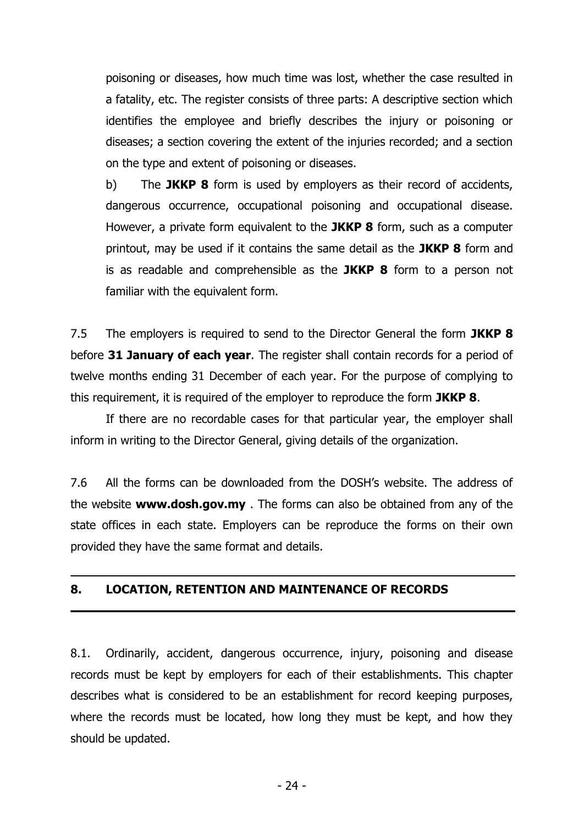poisoning or diseases, how much time was lost, whether the case resulted in a fatality, etc. The register consists of three parts: A descriptive section which identifies the employee and briefly describes the injury or poisoning or diseases; a section covering the extent of the injuries recorded; and a section on the type and extent of poisoning or diseases.

b) The **JKKP 8** form is used by employers as their record of accidents, dangerous occurrence, occupational poisoning and occupational disease. However, a private form equivalent to the **JKKP 8** form, such as a computer printout, may be used if it contains the same detail as the **JKKP 8** form and is as readable and comprehensible as the **JKKP 8** form to a person not familiar with the equivalent form.

7.5 The employers is required to send to the Director General the form **JKKP 8** before **31 January of each year**. The register shall contain records for a period of twelve months ending 31 December of each year. For the purpose of complying to this requirement, it is required of the employer to reproduce the form **JKKP 8**.

If there are no recordable cases for that particular year, the employer shall inform in writing to the Director General, giving details of the organization.

7.6 All the forms can be downloaded from the DOSH's website. The address of the website **[www.dosh.gov.my](http://www.dosh.gov.my/)** . The forms can also be obtained from any of the state offices in each state. Employers can be reproduce the forms on their own provided they have the same format and details.

### **8. LOCATION, RETENTION AND MAINTENANCE OF RECORDS**

8.1. Ordinarily, accident, dangerous occurrence, injury, poisoning and disease records must be kept by employers for each of their establishments. This chapter describes what is considered to be an establishment for record keeping purposes, where the records must be located, how long they must be kept, and how they should be updated.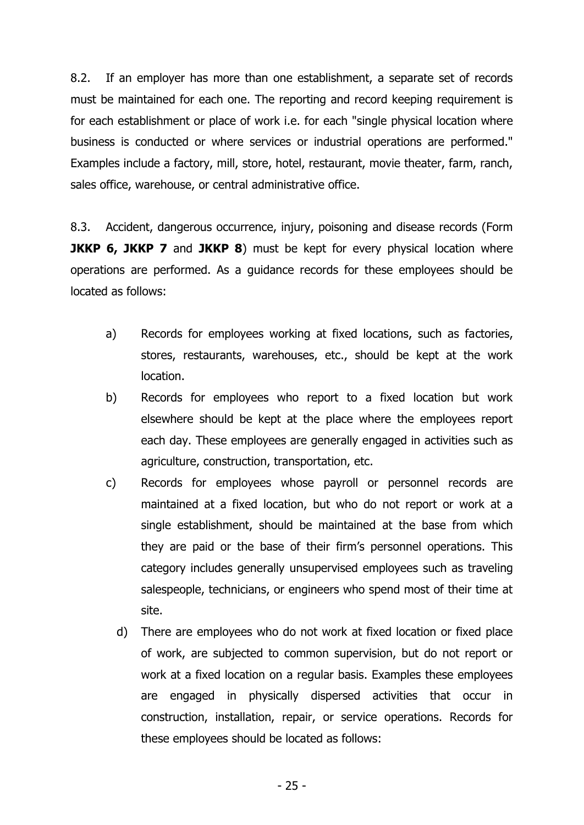8.2. If an employer has more than one establishment, a separate set of records must be maintained for each one. The reporting and record keeping requirement is for each establishment or place of work i.e. for each "single physical location where business is conducted or where services or industrial operations are performed." Examples include a factory, mill, store, hotel, restaurant, movie theater, farm, ranch, sales office, warehouse, or central administrative office.

8.3. Accident, dangerous occurrence, injury, poisoning and disease records (Form **JKKP 6, JKKP 7** and JKKP 8) must be kept for every physical location where operations are performed. As a guidance records for these employees should be located as follows:

- a) Records for employees working at fixed locations, such as factories, stores, restaurants, warehouses, etc., should be kept at the work location.
- b) Records for employees who report to a fixed location but work elsewhere should be kept at the place where the employees report each day. These employees are generally engaged in activities such as agriculture, construction, transportation, etc.
- c) Records for employees whose payroll or personnel records are maintained at a fixed location, but who do not report or work at a single establishment, should be maintained at the base from which they are paid or the base of their firm's personnel operations. This category includes generally unsupervised employees such as traveling salespeople, technicians, or engineers who spend most of their time at site.
	- d) There are employees who do not work at fixed location or fixed place of work, are subjected to common supervision, but do not report or work at a fixed location on a regular basis. Examples these employees are engaged in physically dispersed activities that occur in construction, installation, repair, or service operations. Records for these employees should be located as follows: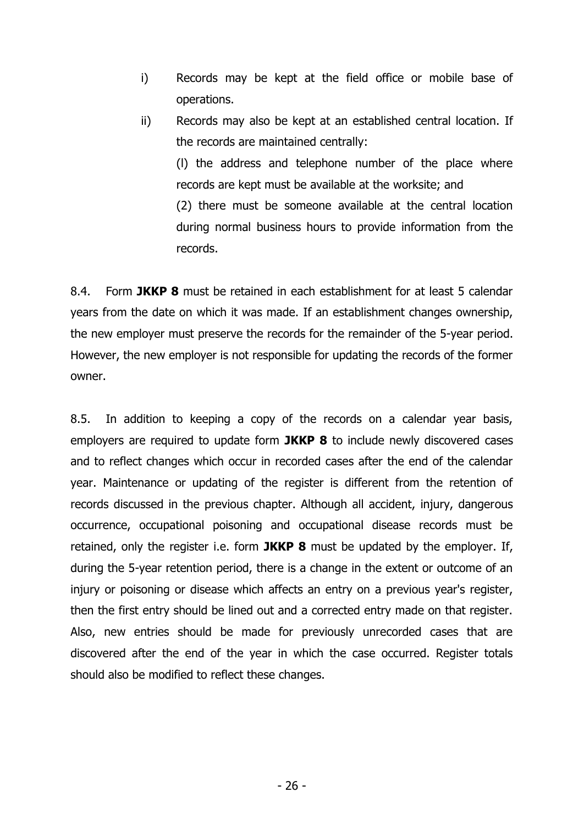- i) Records may be kept at the field office or mobile base of operations.
- ii) Records may also be kept at an established central location. If the records are maintained centrally:

(l) the address and telephone number of the place where records are kept must be available at the worksite; and (2) there must be someone available at the central location during normal business hours to provide information from the records.

8.4. Form **JKKP 8** must be retained in each establishment for at least 5 calendar years from the date on which it was made. If an establishment changes ownership, the new employer must preserve the records for the remainder of the 5-year period. However, the new employer is not responsible for updating the records of the former owner.

8.5. In addition to keeping a copy of the records on a calendar year basis, employers are required to update form **JKKP 8** to include newly discovered cases and to reflect changes which occur in recorded cases after the end of the calendar year. Maintenance or updating of the register is different from the retention of records discussed in the previous chapter. Although all accident, injury, dangerous occurrence, occupational poisoning and occupational disease records must be retained, only the register i.e. form **JKKP 8** must be updated by the employer. If, during the 5-year retention period, there is a change in the extent or outcome of an injury or poisoning or disease which affects an entry on a previous year's register, then the first entry should be lined out and a corrected entry made on that register. Also, new entries should be made for previously unrecorded cases that are discovered after the end of the year in which the case occurred. Register totals should also be modified to reflect these changes.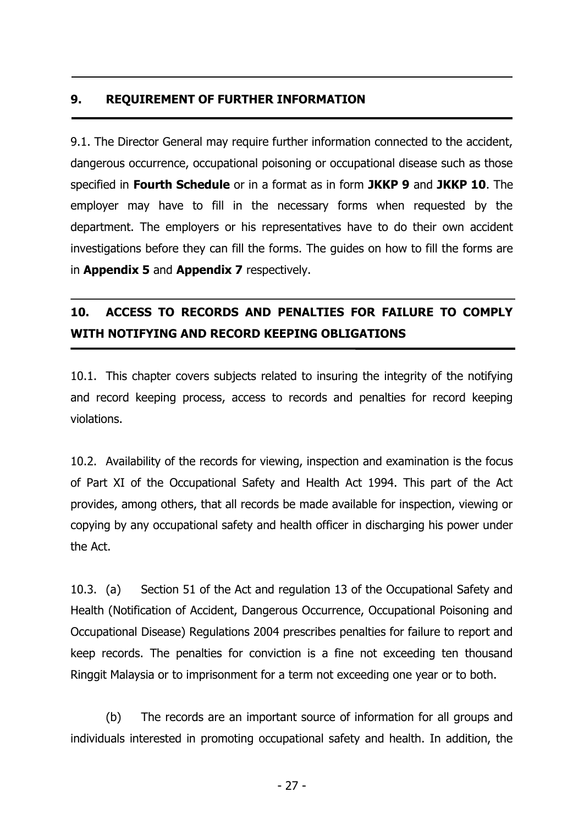## **9. REQUIREMENT OF FURTHER INFORMATION**

9.1. The Director General may require further information connected to the accident, dangerous occurrence, occupational poisoning or occupational disease such as those specified in **Fourth Schedule** or in a format as in form **JKKP 9** and **JKKP 10**. The employer may have to fill in the necessary forms when requested by the department. The employers or his representatives have to do their own accident investigations before they can fill the forms. The guides on how to fill the forms are in **Appendix 5** and **Appendix 7** respectively.

# **10. ACCESS TO RECORDS AND PENALTIES FOR FAILURE TO COMPLY WITH NOTIFYING AND RECORD KEEPING OBLIGATIONS**

10.1. This chapter covers subjects related to insuring the integrity of the notifying and record keeping process, access to records and penalties for record keeping violations.

10.2. Availability of the records for viewing, inspection and examination is the focus of Part XI of the Occupational Safety and Health Act 1994. This part of the Act provides, among others, that all records be made available for inspection, viewing or copying by any occupational safety and health officer in discharging his power under the Act.

10.3. (a) Section 51 of the Act and regulation 13 of the Occupational Safety and Health (Notification of Accident, Dangerous Occurrence, Occupational Poisoning and Occupational Disease) Regulations 2004 prescribes penalties for failure to report and keep records. The penalties for conviction is a fine not exceeding ten thousand Ringgit Malaysia or to imprisonment for a term not exceeding one year or to both.

(b) The records are an important source of information for all groups and individuals interested in promoting occupational safety and health. In addition, the